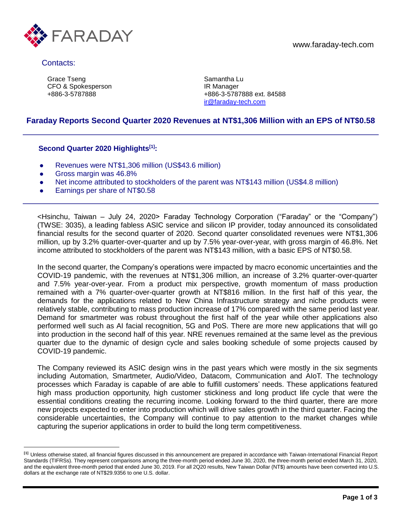

Contacts:

 $\overline{a}$ 

Grace Tseng CFO & Spokesperson +886-3-5787888

Samantha Lu IR Manager +886-3-5787888 ext. 84588 [ir@faraday-tech.com](mailto:ir@faraday-tech.com)

# **Faraday Reports Second Quarter 2020 Revenues at NT\$1,306 Million with an EPS of NT\$0.58**

### **Second Quarter 2020 Highlights[1]:**

- Revenues were NT\$1,306 million (US\$43.6 million)
- Gross margin was 46.8%
- Net income attributed to stockholders of the parent was NT\$143 million (US\$4.8 million)
- Earnings per share of NT\$0.58

<Hsinchu, Taiwan – July 24, 2020> Faraday Technology Corporation ("Faraday" or the "Company") (TWSE: 3035), a leading fabless ASIC service and silicon IP provider, today announced its consolidated financial results for the second quarter of 2020. Second quarter consolidated revenues were NT\$1,306 million, up by 3.2% quarter-over-quarter and up by 7.5% year-over-year, with gross margin of 46.8%. Net income attributed to stockholders of the parent was NT\$143 million, with a basic EPS of NT\$0.58.

In the second quarter, the Company's operations were impacted by macro economic uncertainties and the COVID-19 pandemic, with the revenues at NT\$1,306 million, an increase of 3.2% quarter-over-quarter and 7.5% year-over-year. From a product mix perspective, growth momentum of mass production remained with a 7% quarter-over-quarter growth at NT\$816 million. In the first half of this year, the demands for the applications related to New China Infrastructure strategy and niche products were relatively stable, contributing to mass production increase of 17% compared with the same period last year. Demand for smartmeter was robust throughout the first half of the year while other applications also performed well such as AI facial recognition, 5G and PoS. There are more new applications that will go into production in the second half of this year. NRE revenues remained at the same level as the previous quarter due to the dynamic of design cycle and sales booking schedule of some projects caused by COVID-19 pandemic.

The Company reviewed its ASIC design wins in the past years which were mostly in the six segments including Automation, Smartmeter, Audio/Video, Datacom, Communication and AIoT. The technology processes which Faraday is capable of are able to fulfill customers' needs. These applications featured high mass production opportunity, high customer stickiness and long product life cycle that were the essential conditions creating the recurring income. Looking forward to the third quarter, there are more new projects expected to enter into production which will drive sales growth in the third quarter. Facing the considerable uncertainties, the Company will continue to pay attention to the market changes while capturing the superior applications in order to build the long term competitiveness.

**<sup>[1]</sup>** Unless otherwise stated, all financial figures discussed in this announcement are prepared in accordance with Taiwan-International Financial Report Standards (TIFRSs). They represent comparisons among the three-month period ended June 30, 2020, the three-month period ended March 31, 2020, and the equivalent three-month period that ended June 30, 2019. For all 2Q20 results, New Taiwan Dollar (NT\$) amounts have been converted into U.S. dollars at the exchange rate of NT\$29.9356 to one U.S. dollar.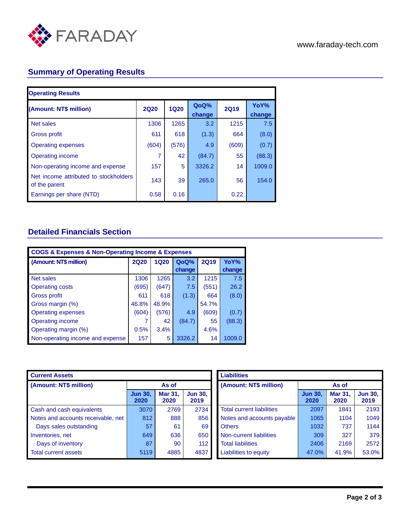

# **Summary of Operating Results**

| <b>Operating Results</b>                               |             |       |                |             |                |
|--------------------------------------------------------|-------------|-------|----------------|-------------|----------------|
| (Amount: NT\$ million)                                 | <b>2Q20</b> | 1Q20  | QoQ%<br>change | <b>2Q19</b> | YoY%<br>change |
| Net sales                                              | 1306        | 1265  | 3.2            | 1215        | 7.5            |
| Gross profit                                           | 611         | 618   | (1.3)          | 664         | (8.0)          |
| <b>Operating expenses</b>                              | (604)       | (576) | 4.9            | (609)       | (0.7)          |
| Operating income                                       | 7           | 42    | (84.7)         | 55          | (88.3)         |
| Non-operating income and expense                       | 157         | 5     | 3326.2         | 14          | 1009.0         |
| Net income attributed to stockholders<br>of the parent | 143         | 39    | 265.0          | 56          | 154.0          |
| Earnings per share (NTD)                               | 0.58        | 0.16  |                | 0.22        |                |

# **Detailed Financials Section**

| <b>COGS &amp; Expenses &amp; Non-Operating Income &amp; Expenses</b> |             |       |        |             |        |
|----------------------------------------------------------------------|-------------|-------|--------|-------------|--------|
| (Amount: NT\$ million)                                               | <b>2Q20</b> | 1Q20  | QoQ%   | <b>2Q19</b> | YoY%   |
|                                                                      |             |       | change |             | change |
| Net sales                                                            | 1306        | 1265  | 3.2    | 1215        | 7.5    |
| <b>Operating costs</b>                                               | (695)       | (647) | 7.5    | (551)       | 26.2   |
| Gross profit                                                         | 611         | 618   | (1.3)  | 664         | (8.0)  |
| Gross margin (%)                                                     | 46.8%       | 48.9% |        | 54.7%       |        |
| <b>Operating expenses</b>                                            | (604)       | (576) | 4.9    | (609)       | (0.7)  |
| Operating income                                                     |             | 42    | (84.7) | 55          | (88.3) |
| Operating margin (%)                                                 | 0.5%        | 3.4%  |        | 4.6%        |        |
| Non-operating income and expense                                     | 157         | 5     | 3326.2 | 14          | 1009.0 |

| <b>Current Assets</b>              |                        |                        |                        |  |
|------------------------------------|------------------------|------------------------|------------------------|--|
| <b>Amount: NT\$ million)</b>       | As of                  |                        |                        |  |
|                                    | <b>Jun 30,</b><br>2020 | <b>Mar 31,</b><br>2020 | <b>Jun 30,</b><br>2019 |  |
| Cash and cash equivalents          | 3070                   | 2769                   | 2734                   |  |
| Notes and accounts receivable, net | 812                    | 888                    | 856                    |  |
| Days sales outstanding             | 57                     | 61                     | 69                     |  |
| Inventories, net                   | 649                    | 636                    | 650                    |  |
| Days of inventory                  | 87                     | 90                     | 112                    |  |
| <b>Total current assets</b>        | 5119                   | 4885                   | 4837                   |  |

| <b>Liabilities</b>               |                        |                        |                        |  |  |
|----------------------------------|------------------------|------------------------|------------------------|--|--|
| (Amount: NT\$ million)           | As of                  |                        |                        |  |  |
|                                  | <b>Jun 30.</b><br>2020 | <b>Mar 31,</b><br>2020 | <b>Jun 30.</b><br>2019 |  |  |
| <b>Total current liabilities</b> | 2097                   | 1841                   | 2193                   |  |  |
| Notes and accounts payable       | 1065                   | 1104                   | 1049                   |  |  |
| <b>Others</b>                    | 1032                   | 737                    | 1144                   |  |  |
| Non-current liabilities          | 309                    | 327                    | 379                    |  |  |
| <b>Total liabilities</b>         | 2406                   | 2169                   | 2572                   |  |  |
| <b>Liabilities to equity</b>     | 47.0%                  | 41.9%                  | 53.0%                  |  |  |